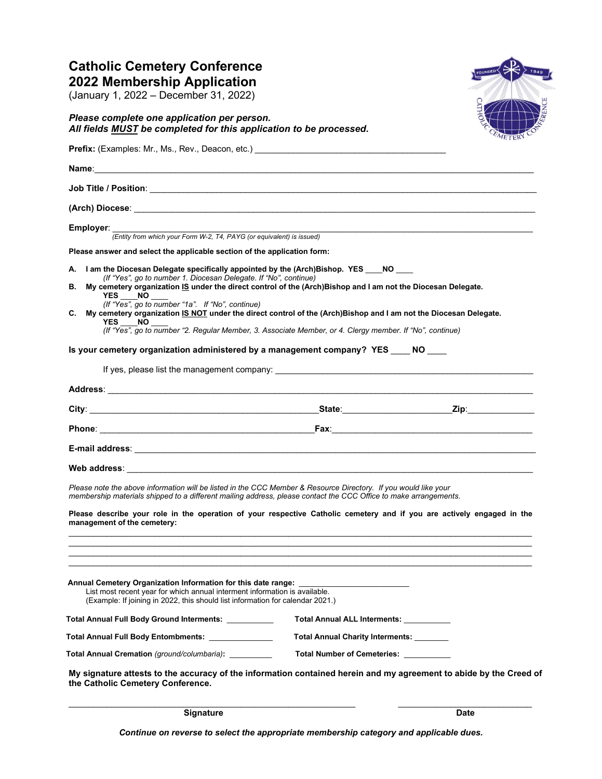## **Catholic Cemetery Conference 2022 Membership Application**

(January 1, 2022 – December 31, 2022)

*Please complete one application per person.*



| Name: experience and a series of the series of the series of the series of the series of the series of the series of the series of the series of the series of the series of the series of the series of the series of the ser<br>(Entity from which your Form W-2, T4, PAYG (or equivalent) is issued)<br>A. I am the Diocesan Delegate specifically appointed by the (Arch)Bishop. YES NO<br>My cemetery organization IS under the direct control of the (Arch)Bishop and I am not the Diocesan Delegate.<br>My cemetery organization IS NOT under the direct control of the (Arch)Bishop and I am not the Diocesan Delegate. |
|---------------------------------------------------------------------------------------------------------------------------------------------------------------------------------------------------------------------------------------------------------------------------------------------------------------------------------------------------------------------------------------------------------------------------------------------------------------------------------------------------------------------------------------------------------------------------------------------------------------------------------|
|                                                                                                                                                                                                                                                                                                                                                                                                                                                                                                                                                                                                                                 |
|                                                                                                                                                                                                                                                                                                                                                                                                                                                                                                                                                                                                                                 |
|                                                                                                                                                                                                                                                                                                                                                                                                                                                                                                                                                                                                                                 |
|                                                                                                                                                                                                                                                                                                                                                                                                                                                                                                                                                                                                                                 |
|                                                                                                                                                                                                                                                                                                                                                                                                                                                                                                                                                                                                                                 |
|                                                                                                                                                                                                                                                                                                                                                                                                                                                                                                                                                                                                                                 |
|                                                                                                                                                                                                                                                                                                                                                                                                                                                                                                                                                                                                                                 |
|                                                                                                                                                                                                                                                                                                                                                                                                                                                                                                                                                                                                                                 |
|                                                                                                                                                                                                                                                                                                                                                                                                                                                                                                                                                                                                                                 |
|                                                                                                                                                                                                                                                                                                                                                                                                                                                                                                                                                                                                                                 |
| (If "Yes", go to number "2. Regular Member, 3. Associate Member, or 4. Clergy member. If "No", continue)                                                                                                                                                                                                                                                                                                                                                                                                                                                                                                                        |
| Is your cemetery organization administered by a management company? YES NO                                                                                                                                                                                                                                                                                                                                                                                                                                                                                                                                                      |
|                                                                                                                                                                                                                                                                                                                                                                                                                                                                                                                                                                                                                                 |
|                                                                                                                                                                                                                                                                                                                                                                                                                                                                                                                                                                                                                                 |
|                                                                                                                                                                                                                                                                                                                                                                                                                                                                                                                                                                                                                                 |
|                                                                                                                                                                                                                                                                                                                                                                                                                                                                                                                                                                                                                                 |
|                                                                                                                                                                                                                                                                                                                                                                                                                                                                                                                                                                                                                                 |
|                                                                                                                                                                                                                                                                                                                                                                                                                                                                                                                                                                                                                                 |
|                                                                                                                                                                                                                                                                                                                                                                                                                                                                                                                                                                                                                                 |
|                                                                                                                                                                                                                                                                                                                                                                                                                                                                                                                                                                                                                                 |
| Please note the above information will be listed in the CCC Member & Resource Directory. If you would like your<br>membership materials shipped to a different mailing address, please contact the CCC Office to make arrangements.<br>Please describe your role in the operation of your respective Catholic cemetery and if you are actively engaged in the                                                                                                                                                                                                                                                                   |
|                                                                                                                                                                                                                                                                                                                                                                                                                                                                                                                                                                                                                                 |
| <b>Total Annual ALL Interments:</b>                                                                                                                                                                                                                                                                                                                                                                                                                                                                                                                                                                                             |
| Total Annual Charity Interments: _______                                                                                                                                                                                                                                                                                                                                                                                                                                                                                                                                                                                        |
| Total Number of Cemeteries: __________                                                                                                                                                                                                                                                                                                                                                                                                                                                                                                                                                                                          |
|                                                                                                                                                                                                                                                                                                                                                                                                                                                                                                                                                                                                                                 |

**Signature** Date

\_\_\_\_\_\_\_\_\_\_\_\_\_\_\_\_\_\_\_\_\_\_\_\_\_\_\_\_\_\_\_\_\_\_\_\_\_\_\_\_\_\_\_\_\_\_\_\_\_\_\_\_\_\_\_\_\_\_\_\_ \_\_\_\_\_\_\_\_\_\_\_\_\_\_\_\_\_\_\_\_\_\_\_\_\_\_\_\_